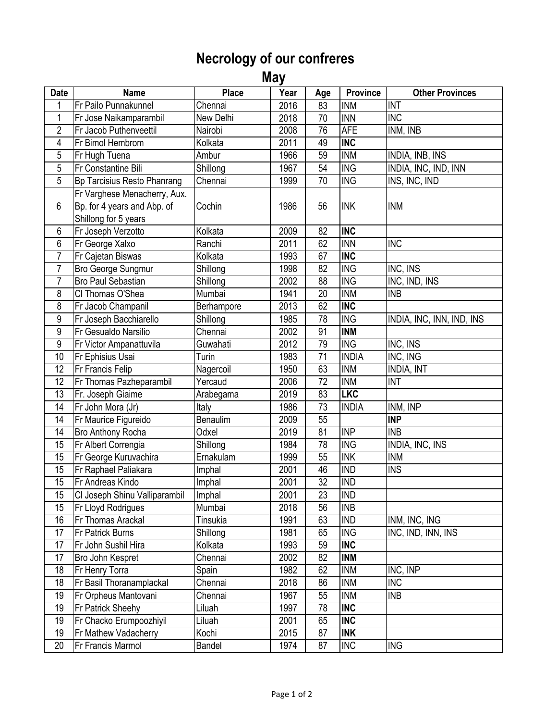## **Necrology of our confreres**

 **May** 

| <b>Date</b>     | <b>Name</b>                   | <b>Place</b>  | Year | Age | <b>Province</b>             | <b>Other Provinces</b>    |
|-----------------|-------------------------------|---------------|------|-----|-----------------------------|---------------------------|
| 1               | <b>Fr Pailo Punnakunnel</b>   | Chennai       | 2016 | 83  | <b>INM</b>                  | <b>INT</b>                |
| $\mathbf 1$     | Fr Jose Naikamparambil        | New Delhi     | 2018 | 70  | <b>INN</b>                  | <b>INC</b>                |
| $\overline{2}$  | Fr Jacob Puthenveettil        | Nairobi       | 2008 | 76  | <b>AFE</b>                  | INM, INB                  |
| 4               | Fr Bimol Hembrom              | Kolkata       | 2011 | 49  | <b>INC</b>                  |                           |
| 5               | Fr Hugh Tuena                 | Ambur         | 1966 | 59  | <b>INM</b>                  | <b>INDIA, INB, INS</b>    |
| $\overline{5}$  | Fr Constantine Bili           | Shillong      | 1967 | 54  | $\overline{\text{ING}}$     | INDIA, INC, IND, INN      |
| 5               | Bp Tarcisius Resto Phanrang   | Chennai       | 1999 | 70  | <b>ING</b>                  | INS, INC, IND             |
|                 | Fr Varghese Menacherry, Aux.  |               |      |     |                             |                           |
| $6\phantom{1}$  | Bp. for 4 years and Abp. of   | Cochin        | 1986 | 56  | <b>INK</b>                  | <b>INM</b>                |
|                 | Shillong for 5 years          |               |      |     |                             |                           |
| $6\phantom{.}6$ | Fr Joseph Verzotto            | Kolkata       | 2009 | 82  | <b>INC</b>                  |                           |
| $6\,$           | Fr George Xalxo               | Ranchi        | 2011 | 62  | <b>INN</b>                  | <b>INC</b>                |
| $\overline{7}$  | Fr Cajetan Biswas             | Kolkata       | 1993 | 67  | <b>INC</b>                  |                           |
| $\overline{7}$  | <b>Bro George Sungmur</b>     | Shillong      | 1998 | 82  | <b>ING</b>                  | INC, INS                  |
| $\overline{7}$  | <b>Bro Paul Sebastian</b>     | Shillong      | 2002 | 88  | <b>ING</b>                  | INC, IND, INS             |
| 8               | CI Thomas O'Shea              | Mumbai        | 1941 | 20  | <b>INM</b>                  | <b>INB</b>                |
| 8               | Fr Jacob Champanil            | Berhampore    | 2013 | 62  | <b>INC</b>                  |                           |
| $\overline{9}$  | Fr Joseph Bacchiarello        | Shillong      | 1985 | 78  | <b>ING</b>                  | INDIA, INC, INN, IND, INS |
| 9               | Fr Gesualdo Narsilio          | Chennai       | 2002 | 91  | <b>INM</b>                  |                           |
| $9\,$           | Fr Victor Ampanattuvila       | Guwahati      | 2012 | 79  | <b>ING</b>                  | INC, INS                  |
| 10              | Fr Ephisius Usai              | Turin         | 1983 | 71  | <b>INDIA</b>                | INC, ING                  |
| 12              | <b>Fr Francis Felip</b>       | Nagercoil     | 1950 | 63  | <b>INM</b>                  | <b>INDIA, INT</b>         |
| 12              | Fr Thomas Pazheparambil       | Yercaud       | 2006 | 72  | <b>INM</b>                  | <b>INT</b>                |
| 13              | Fr. Joseph Giaime             | Arabegama     | 2019 | 83  | <b>LKC</b>                  |                           |
| 14              | Fr John Mora (Jr)             | Italy         | 1986 | 73  | <b>INDIA</b>                | INM, INP                  |
| 14              | Fr Maurice Figureido          | Benaulim      | 2009 | 55  |                             | <b>INP</b>                |
| 14              | <b>Bro Anthony Rocha</b>      | Odxel         | 2019 | 81  | <b>INP</b>                  | <b>INB</b>                |
| 15              | Fr Albert Correngia           | Shillong      | 1984 | 78  | $\overline{\text{ING}}$     | INDIA, INC, INS           |
| 15              | Fr George Kuruvachira         | Ernakulam     | 1999 | 55  | $\ensuremath{\mathsf{INK}}$ | <b>INM</b>                |
| 15              | <b>Fr Raphael Paliakara</b>   | Imphal        | 2001 | 46  | <b>IND</b>                  | <b>INS</b>                |
| 15              | Fr Andreas Kindo              | Imphal        | 2001 | 32  | <b>IND</b>                  |                           |
| 15              | CI Joseph Shinu Valliparambil | Imphal        | 2001 | 23  | <b>IND</b>                  |                           |
| 15              | <b>Fr Lloyd Rodrigues</b>     | Mumbai        | 2018 | 56  | <b>INB</b>                  |                           |
| 16              | <b>Fr Thomas Arackal</b>      | Tinsukia      | 1991 | 63  | <b>IND</b>                  | INM, INC, ING             |
| 17              | <b>Fr Patrick Burns</b>       | Shillong      | 1981 | 65  | <b>ING</b>                  | INC, IND, INN, INS        |
| 17              | Fr John Sushil Hira           | Kolkata       | 1993 | 59  | <b>INC</b>                  |                           |
| 17              | Bro John Kespret              | Chennai       | 2002 | 82  | <b>INM</b>                  |                           |
| 18              | <b>Fr Henry Torra</b>         | Spain         | 1982 | 62  | <b>INM</b>                  | INC, INP                  |
| 18              | Fr Basil Thoranamplackal      | Chennai       | 2018 | 86  | <b>INM</b>                  | <b>INC</b>                |
| 19              | Fr Orpheus Mantovani          | Chennai       | 1967 | 55  | <b>INM</b>                  | <b>INB</b>                |
| 19              | <b>Fr Patrick Sheehy</b>      | Liluah        | 1997 | 78  | <b>INC</b>                  |                           |
| 19              | Fr Chacko Erumpoozhiyil       | Liluah        | 2001 | 65  | <b>INC</b>                  |                           |
| 19              | Fr Mathew Vadacherry          | Kochi         | 2015 | 87  | <b>INK</b>                  |                           |
| 20              | <b>Fr Francis Marmol</b>      | <b>Bandel</b> | 1974 | 87  | <b>INC</b>                  | <b>ING</b>                |